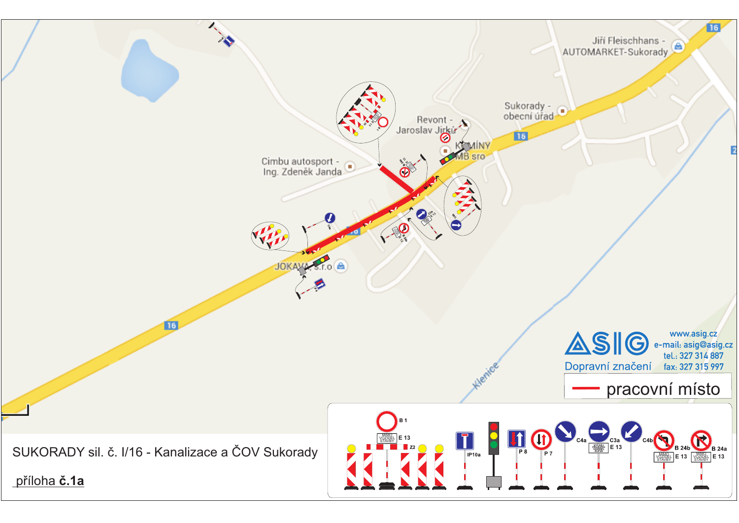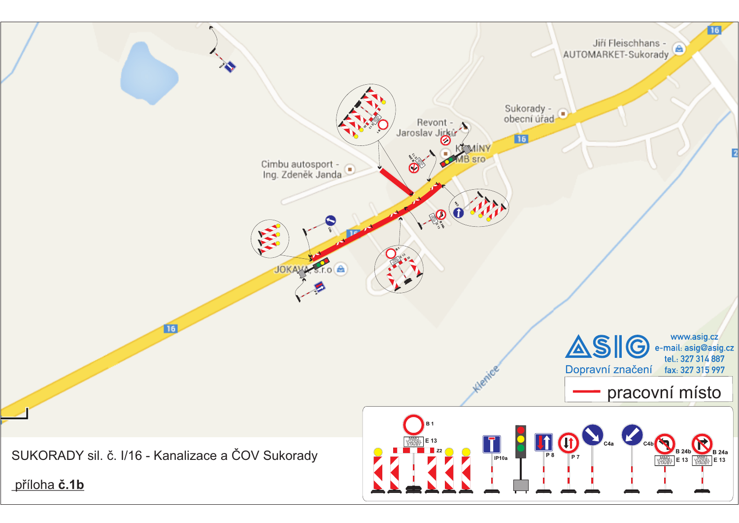